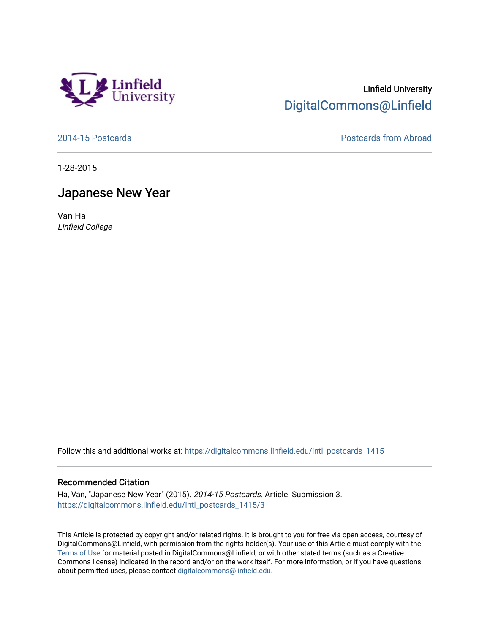

## Linfield University [DigitalCommons@Linfield](https://digitalcommons.linfield.edu/)

[2014-15 Postcards](https://digitalcommons.linfield.edu/intl_postcards_1415) [Postcards from Abroad](https://digitalcommons.linfield.edu/intl_postcards_comm) 

1-28-2015

## Japanese New Year

Van Ha Linfield College

Follow this and additional works at: [https://digitalcommons.linfield.edu/intl\\_postcards\\_1415](https://digitalcommons.linfield.edu/intl_postcards_1415?utm_source=digitalcommons.linfield.edu%2Fintl_postcards_1415%2F3&utm_medium=PDF&utm_campaign=PDFCoverPages)

## Recommended Citation

Ha, Van, "Japanese New Year" (2015). 2014-15 Postcards. Article. Submission 3. [https://digitalcommons.linfield.edu/intl\\_postcards\\_1415/3](https://digitalcommons.linfield.edu/intl_postcards_1415/3) 

This Article is protected by copyright and/or related rights. It is brought to you for free via open access, courtesy of DigitalCommons@Linfield, with permission from the rights-holder(s). Your use of this Article must comply with the [Terms of Use](https://digitalcommons.linfield.edu/terms_of_use.html) for material posted in DigitalCommons@Linfield, or with other stated terms (such as a Creative Commons license) indicated in the record and/or on the work itself. For more information, or if you have questions about permitted uses, please contact [digitalcommons@linfield.edu.](mailto:digitalcommons@linfield.edu)